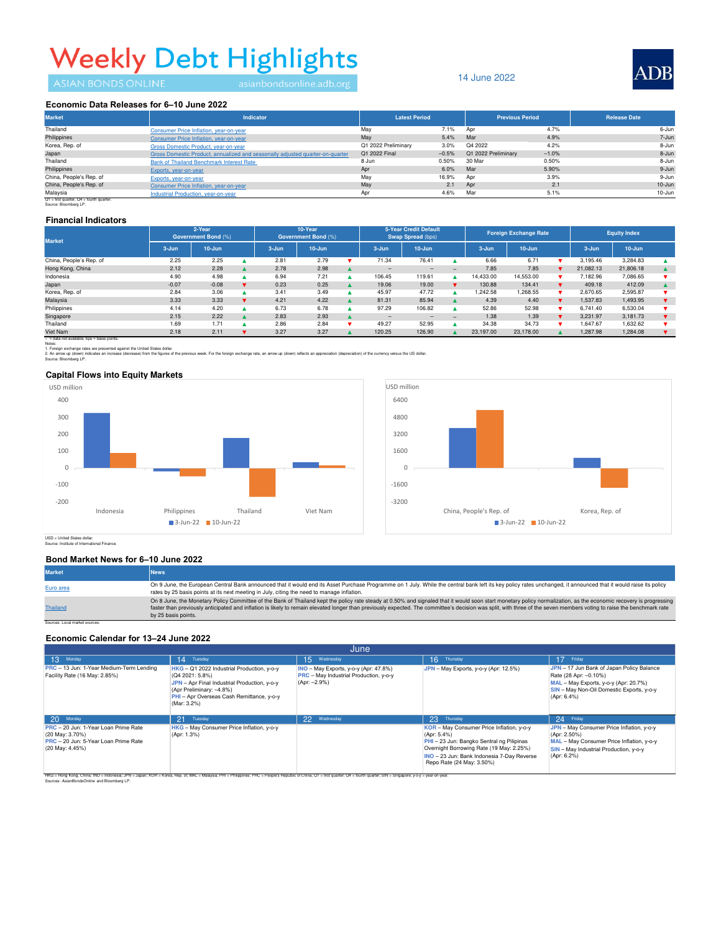# **Weekly Debt Highlights**

### 14 June 2022



#### Economic Data Releases for 6-10 June 2022

| <b>Market</b>           | <b>Indicator</b>                                                              | <b>Latest Period</b> |         | <b>Previous Period</b> |         | <b>Release Date</b> |
|-------------------------|-------------------------------------------------------------------------------|----------------------|---------|------------------------|---------|---------------------|
| Thailand                | Consumer Price Inflation, year-on-year                                        | May                  | 7.1%    | Apr                    | 4.7%    | 6-Jun               |
| Philippines             | Consumer Price Inflation, year-on-year                                        | May                  | 5.4%    | Mar                    | 4.9%    | 7-Jun               |
| Korea, Rep. of          | Gross Domestic Product, year-on-year                                          | Q1 2022 Preliminary  | 3.0%    | Q4 2022                | 4.2%    | 8-Jun               |
| Japan                   | Gross Domestic Product, annualized and seasonally adjusted quarter-on-quarter | Q1 2022 Final        | $-0.5%$ | Q1 2022 Preliminary    | $-1.0%$ | 8-Jun               |
| Thailand                | Bank of Thailand Benchmark Interest Rate                                      | 8 Jun                | 0.50%   | 30 Mar                 | 0.50%   | 8-Jun               |
| Philippines             | Exports, year-on-year                                                         | Apr                  | 6.0%    | Mar                    | 5.90%   | 9-Jun               |
| China, People's Rep. of | Exports, year-on-year                                                         | May                  | 16.9%   | Apr                    | 3.9%    | 9-Jun               |
| China, People's Rep. of | Consumer Price Inflation, year-on-year                                        | May                  | 2.1     | Apr                    | 2.1     | $10 - Jun$          |
| Malaysia                | Industrial Production, year-on-year                                           | Apr                  | 4.6%    | Mar                    | 5.1%    | 10-Jun              |

Q1 = first quarter, Q4 = fourth quarter.<br>Source: Bloomberg LP.

#### **Financial Indicators**

| <b>Market</b>                                 | 2-Year<br><b>Government Bond (%)</b> |            | 10-Year<br><b>Government Bond (%)</b> |           | <b>5-Year Credit Default</b><br><b>Swap Spread (bps)</b> |  | <b>Foreign Exchange Rate</b> |                 | <b>Equity Index</b> |           |            |  |           |            |  |
|-----------------------------------------------|--------------------------------------|------------|---------------------------------------|-----------|----------------------------------------------------------|--|------------------------------|-----------------|---------------------|-----------|------------|--|-----------|------------|--|
|                                               | 3-Jun                                | $10 - Jun$ |                                       | $3 - Jun$ | $10 - Jun$                                               |  | $3 - Jun$                    | $10 - Jun$      |                     | $3 - Jun$ | $10 - Jun$ |  | $3 - Jun$ | $10 - Jun$ |  |
| China, People's Rep. of                       | 2.25                                 | 2.25       |                                       | 2.81      | 2.79                                                     |  | 71.34                        | 76.41           |                     | 6.66      | 6.71       |  | 3.195.46  | 3.284.83   |  |
| Hong Kong, China                              | 2.12                                 | 2.28       |                                       | 2.78      | 2.98                                                     |  |                              | $\qquad \qquad$ | $=$                 | 7.85      | 7.85       |  | 21.082.13 | 21,806.18  |  |
| Indonesia                                     | 4.90                                 | 4.98       |                                       | 6.94      | 7.21                                                     |  | 106.45                       | 119.61          |                     | 14.433.00 | 14.553.00  |  | 7.182.96  | 7.086.65   |  |
| Japan                                         | $-0.07$                              | $-0.08$    |                                       | 0.23      | 0.25                                                     |  | 19.06                        | 19.00           |                     | 130.88    | 134.41     |  | 409.18    | 412.09     |  |
| Korea, Rep. of                                | 2.84                                 | 3.06       |                                       | 3.41      | 3.49                                                     |  | 45.97                        | 47.72           |                     | 1.242.58  | 1,268.55   |  | 2.670.65  | 2,595.87   |  |
| Malaysia                                      | 3.33                                 | 3.33       |                                       | 4.21      | 4.22                                                     |  | 81.31                        | 85.94           |                     | 4.39      | 4.40       |  | 1,537.83  | 1,493.95   |  |
| Philippines                                   | 4.14                                 | 4.20       |                                       | 6.73      | 6.78                                                     |  | 97.29                        | 106.82          |                     | 52.86     | 52.98      |  | 6,741.40  | 6.530.04   |  |
| Singapore                                     | 2.15                                 | 2.22       |                                       | 2.83      | 2.93                                                     |  | -                            | $-$             | $\qquad \qquad$     | 1.38      | 1.39       |  | 3.231.97  | 3,181.73   |  |
| Thailand                                      | 1.69                                 | 1.71       |                                       | 2.86      | 2.84                                                     |  | 49.27                        | 52.95           |                     | 34.38     | 34.73      |  | .647.67   | 1.632.62   |  |
| Viet Nam                                      | 2.18                                 | 2.11       |                                       | 3.27      | 3.27                                                     |  | 120.25                       | 126.90          |                     | 23,197,00 | 23,178.00  |  | 1,287.98  | 1,284.08   |  |
| $-$ = data not available, bos = basis points. |                                      |            |                                       |           |                                                          |  |                              |                 |                     |           |            |  |           |            |  |

2. An arrow up (down) indicates an increase (decrease) from the figures of the previous week. For the foreign exchange rate, an arrow up (down) reflects an appreciation (depreciation) of the currency versus the US dollar. Notes:<br>1. Foreign exchange rates are presented against the United States dollar.

Source: Bloomberg LP.

### **Capital Flows into Equity Markets**





Source: Institute of International Finance. USD = United States dollar.

#### **Bond Market News for 6–10 June 2022**

| <b>Market</b>                  | <b>News</b>                                                                                                                                                                                                                                                                                                                                                                                                                                                        |
|--------------------------------|--------------------------------------------------------------------------------------------------------------------------------------------------------------------------------------------------------------------------------------------------------------------------------------------------------------------------------------------------------------------------------------------------------------------------------------------------------------------|
| Euro area                      | On 9 June, the European Central Bank announced that it would end its Asset Purchase Programme on 1 July. While the central bank left its key policy rates unchanged, it announced that it would raise its policy<br>rates by 25 basis points at its next meeting in July, citing the need to manage inflation.                                                                                                                                                     |
| <b>Thailand</b>                | On 8 June, the Monetary Policy Committee of the Bank of Thailand kept the policy rate steady at 0.50% and signaled that it would soon start monetary policy normalization, as the economic recovery is progressing<br>faster than previously anticipated and inflation is likely to remain elevated longer than previously expected. The committee's decision was split, with three of the seven members voting to raise the benchmark rate<br>by 25 basis points. |
| Sources: Local market sources. |                                                                                                                                                                                                                                                                                                                                                                                                                                                                    |

# **Economic Calendar for 13–24 June 2022**

| June                                                                       |                                                                                                                                                                                                       |                                                                                                   |                                                                                                                                                                                 |                                                                                                                                                                         |  |  |  |  |
|----------------------------------------------------------------------------|-------------------------------------------------------------------------------------------------------------------------------------------------------------------------------------------------------|---------------------------------------------------------------------------------------------------|---------------------------------------------------------------------------------------------------------------------------------------------------------------------------------|-------------------------------------------------------------------------------------------------------------------------------------------------------------------------|--|--|--|--|
| 13 Monday                                                                  | 14 Tuesday                                                                                                                                                                                            | 15.<br>Wednesday                                                                                  | 16 Thursday                                                                                                                                                                     | 17 Friday                                                                                                                                                               |  |  |  |  |
| PRC - 13 Jun: 1-Year Medium-Term Lending<br>Facility Rate (16 May: 2.85%)  | HKG - Q1 2022 Industrial Production, y-o-y<br>(Q4 2021: 5.8%)<br>JPN - Apr Final Industrial Production, y-o-y<br>(Apr Preliminary: -4.8%)<br>PHI - Apr Overseas Cash Remittance, y-o-y<br>(Mar: 3.2%) | INO - May Exports, y-o-y (Apr: 47.8%)<br>PRC - May Industrial Production, y-o-y<br>$(Apr: -2.9%)$ | JPN - May Exports, y-o-y (Apr: 12.5%)                                                                                                                                           | JPN - 17 Jun Bank of Japan Policy Balance<br>Rate (28 Apr: -0.10%)<br>MAL - May Exports, y-o-y (Apr: 20.7%)<br>SIN - May Non-Oil Domestic Exports, y-o-y<br>(Apr: 6.4%) |  |  |  |  |
| $20^{\circ}$<br>Monday                                                     | 21<br>Tuesday                                                                                                                                                                                         | 22 Wednesday                                                                                      | 23<br>Thursday                                                                                                                                                                  | 24 Friday                                                                                                                                                               |  |  |  |  |
| PRC - 20 Jun: 1-Year Loan Prime Rate                                       | HKG - May Consumer Price Inflation, y-o-y                                                                                                                                                             |                                                                                                   | KOR - May Consumer Price Inflation, y-o-y                                                                                                                                       | JPN - May Consumer Price Inflation, y-o-y                                                                                                                               |  |  |  |  |
| (20 May: 3.70%)<br>PRC - 20 Jun: 5-Year Loan Prime Rate<br>(20 May: 4.45%) | (Apr: 1.3%)                                                                                                                                                                                           |                                                                                                   | (Apr: 5.4%)<br>PHI - 23 Jun: Bangko Sentral ng Pilipinas<br>Overnight Borrowing Rate (19 May: 2.25%)<br>INO - 23 Jun: Bank Indonesia 7-Day Reverse<br>Repo Rate (24 May: 3.50%) | (Apr: 2.50%)<br>MAL - May Consumer Price Inflation, y-o-y<br>SIN - May Industrial Production, y-o-y<br>(Apr: 6.2%)                                                      |  |  |  |  |
| v-o-v = vear-on-year<br>Sources: AsianBondsOnline and Bloomberg LP.        |                                                                                                                                                                                                       |                                                                                                   |                                                                                                                                                                                 |                                                                                                                                                                         |  |  |  |  |